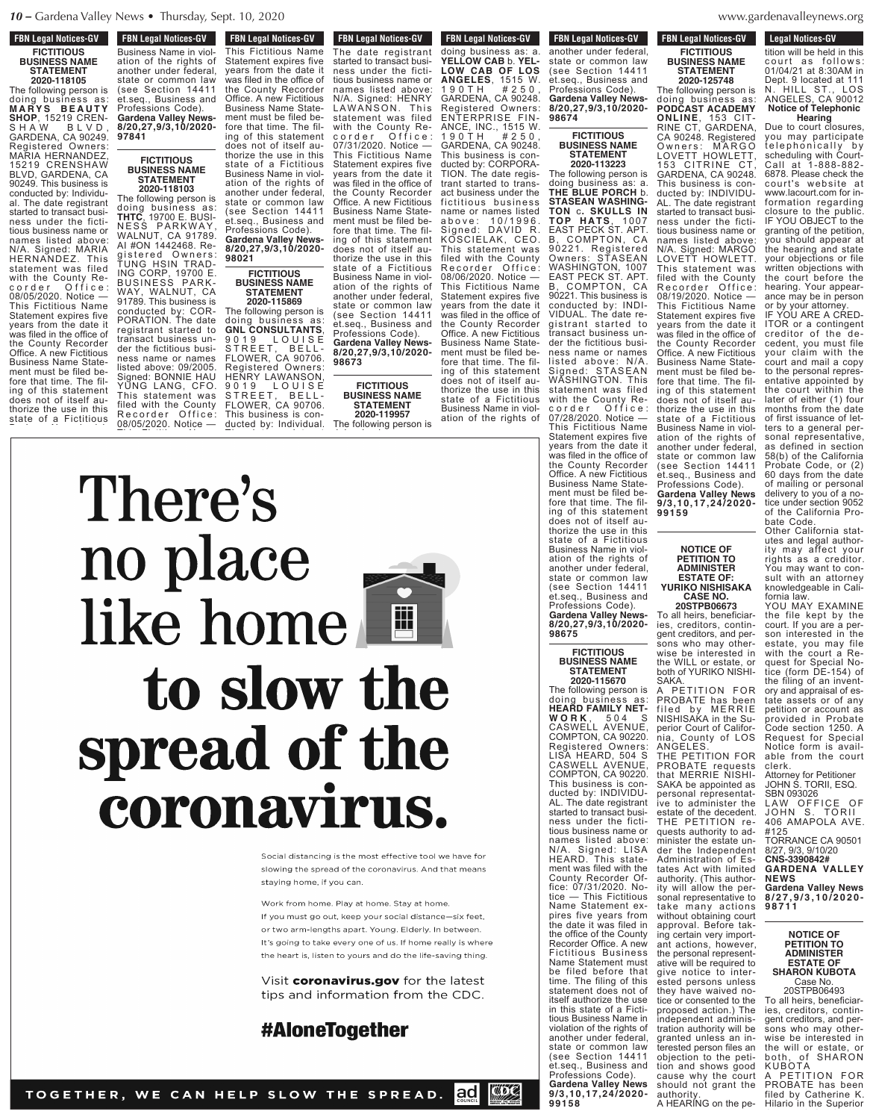### **FBN Legal Notices-GV FICTITIOUS BUSINESS NAME STATEMENT**

**2020-118105** The following person is doing business as: **M A R Y S B E A U T Y SHOP**, 15219 CREN-S H A W B L V D , GARDENA, CA 90249. Registered Owners: MARIA HERNANDEZ, 15219 CRENSHAW BLVD, GARDENA, CA 90249. This business is conducted by: Individual. The date registrant started to transact business under the fictitious business name or names listed above: N/A. Signed: MARIA HERNANDEZ. This statement was filed with the County Recorder Office: 08/05/2020. Notice — This Fictitious Name Statement expires five years from the date it was filed in the office of the County Recorder Office. A new Fictitious Business Name Statement must be filed before that time. The filing of this statement does not of itself authorize the use in this state of a Fictitious

ation of the rights of the rights of the rights of the rights of the rights of the rights of the rights of the another under federal, state or common law (see Section 1441114) et.seq., Business and Professions Code). **Gardena Valley News-8/20,27,9/3,10/2020-**

**97841**

**FBN Legal Notices-GV FON LEGAL NOTICES-CIV** This Fictitious Name Statement expires five years from the date it was filed in the office of **FBN Legal Notices-GV FIGURE CONSTRUCTS** Business Name in violation of the rights of another under federal, state or common law state Section 14411 et.seq., Business and Professions Code). **Gardena Valley News-8/20,27,9/3,10/2020- 97841**

#### **FICTITIOUS BUSINESS NAME STATEMENT 2020-118103**

The following person is doing business as: **THTC**, 19700 E. BUSI-NESS PARKWAY, WALNUT, CA 91789. AI #ON 1442468. Registered Owners: TUNG HSIN TRAD-ING CORP, 19700 E. BUSINESS PARK-WAY, WALNUT, CA 91789. This business is conducted by: COR-PORATION. The date registrant started to transact business under the fictitious business name or names listed above: 09/2005. Signed: BONNIE HAU YUNG LANG, CFO. This statement was filed with the County Recorder Office: 08/05/2020. Notice — This Fictitious Name

the County Recorder Office. A new Fictitious  $B \cap B$ ment must be fore that time. The filing of the state thorize the use in this  $\sim$  set Business Name in violation of the rights of  $\mathbf u$ state or common law (see Section 14411 et.seq., Business and

the County Recorder Office. A new Fictitious Business Name Statement must be filed before that time. The filing of this statement does not of itself authorize the use in this state of a Fictitious Business Name in violation of the rights of another under federal, state or common law (see Section 14411 et.seq., Business and Professions Code). **Gardena Valley News-8/20,27,9/3,10/2020- 98021 FICTITIOUS**

## **BUSINESS NAME STATEMENT**

**2020-115869** The following person is doing business as: **GNL CONSULTANTS**, 9019 LOUISE STREET, BELL-FLOWER, CA 90706. Registered Owners: HENRY LAWANSON, 9019 LOUISE STREET, BELL-FLOWER, CA 90706. This business is con-

**FON LEGAL MULLES-GV** The date registrant<br>started to transact business under the fictitious business name or names listed above: N/A. Signed: HENRY LAWANSON. This statement was filed with the County Recorder Office: 07/31/2020. Notice — This Fictitious Name Statement expires five years from the date it was filed in the office of the County Recorder Office. A new Fictitious Business Name Statement must be filed before that time. The filing of this statement does not of itself authorize the use in this state of a Fictitious Business Name in violation of the rights of another under federal, state or common law (see Section 14411 et.seq., Business and Professions Code). **Gardena Valley News-8/20,27,9/3,10/2020- 98673**

**FBN Legal Notices-GV** 

#### **FICTITIOUS BUSINESS NAME STATEMENT 2020-119957**

The following person is doing business as: a.

**FBN Legal Notices-GV 2020-119957 The Following person is expected** by Formula person in the following person is a person in the following person is the control of the following person is a person in the control of the control of the control of the contro doing business as: a. **YELLOW CAB** b. **YEL-LOW CAB OF LOS ANGELES**, 1515 W. 1 9 0 T H # 2 5 0 , GARDENA, CA 90248. Registered Owners: ENTERPRISE FIN-ANCE, INC., 1515 W. 1 9 0 T H # 2 5 0 , GARDENA, CA 90248. This business is conducted by: CORPORA-TION. The date registrant started to transact business under the fictitious business name or names listed a b o v e : 1 0 / 1 9 9 6 . Signed: DAVID R. KOSCIELAK, CEO. This statement was filed with the County Recorder Office: 08/06/2020. Notice — This Fictitious Name Statement expires five years from the date it was filed in the office of the County Recorder Office. A new Fictitious Business Name Statement must be filed before that time. The filing of this statement does not of itself authorize the use in this state of a Fictitious

Business Name in violation of the rights of another under federal, state or common law (see Section 14411 et.seq., Business and **Gardena Valley News-8/20,27,9/3,10/2020-**

**FBN Legal Notices-GV** rbn Leyal Nulles-GV another under federal, state or common law (see Section 14411 et.seq., Business and Professions Code). **Gardena Valley News-8/20,27,9/3,10/2020- 98674**

#### **FICTITIOUS BUSINESS NAME STATEMENT 2020-113223**

The following person is doing business as: a. **THE BLUE PORCH** b. **STASEAN WASHING-TON** c**. SKULLS IN TOP H A TS**, 1 0 0 7 EAST PECK ST. APT. B, COMPTON, CA 90221. Registered Owners: STASEAN WASHINGTON, 1007 EAST PECK ST. APT. B, COMPTON, CA 90221. This business is conducted by: INDI-VIDUAL. The date registrant started to transact business under the fictitious business name or names listed above: N/A. Signed: STASEAN WASHINGTON. This statement was filed with the County Recorder Office: 07/28/2020. Notice — This Fictitious Name Statement expires five years from the date it was filed in the office of the County Recorder Office. A new Fictitious Business Name Statement must be filed before that time. The filing of this statement does not of itself authorize the use in this state of a Fictitious Business Name in violation of the rights of another under federal, state or common law<br>(see Section 14411) et.seq., Business and Professions Code). **Gardena Valley News-8/20,27,9/3,10/2020- 98675**

**99159**

ANGELES.

authority.

THE PETITION FOR PROBATE requests that MERRIE NISHI-SAKA be appointed as personal representative to administer the estate of the decedent. THE PETITION requests authority to administer the estate under the Independent Administration of Estates Act with limited authority. (This authority will allow the personal representative to take many actions without obtaining court approval. Before taking certain very important actions, however, the personal representative will be required to give notice to interested persons unless they have waived no-tice or consented to the proposed action.) The independent administration authority will be granted unless an interested person files an objection to the petition and shows good cause why the court

**NOTICE OF PETITION TO ADMINISTER ESTATE OF: YURIKO NISHISAKA CASE NO. 20STPB06673** To all heirs, beneficiaries, creditors, contingent creditors, and persons who may otherwise be interested in the WILL or estate, or both of YURIKO NISHI-SAKA.<br>A PETITION FOR A PETITION FOR PROBATE has been filed by MERRIE NISHISAKA in the Superior Court of California, County of LOS

#### **FICTITIOUS BUSINESS NAME STATEMENT 2020-115670**

The following person is doing business as: **HEARD FAMILY NET-W O R K** , 5 0 4 S CASWELL AVENUE, COMPTON, CA 90220. Registered Owners: LISA HEARD, 504 S CASWELL AVENUE, COMPTON, CA 90220. This business is conducted by: INDIVIDU-AL. The date registrant started to transact business under the fictitious business name or names listed above: N/A. Signed: LISA HEARD. This statement was filed with the County Recorder Office: 07/31/2020. Notice — This Fictitious Name Statement expires five years from the date it was filed in the office of the County Recorder Office. A new Fictitious Business Name Statement must be filed before that time. The filing of this statement does not of itself authorize the use in this state of a Fictitious Business Name in violation of the rights of another under federal,<br>state or common law (see Section 14411 et.seq., Business and Professions Code). **Gardena Valley News 9/3,10,17,24/2020- 99158**

#### denavalleynews org  $s$  is a grant the grant theorem  $\sigma$

**FBN Legal Notices-GV FICTITIOUS BUSINESS NAME STATEMENT 2020-125748**

RINE CT, GARDENA, CA 90248. Registered Owners: MARGO LOVETT HOWLETT, 153 CITRINE CT, GARDENA, CA 90248. This business is conducted by: INDIVIDU-AL. The date registrant started to transact business under the fictitious business name or names listed above: N/A. Signed: MARGO LOVETT HOWLETT. This statement was filed with the County<br>Recorder Office: Recorder 08/19/2020. Notice — This Fictitious Name Statement expires five years from the date it was filed in the office of the County Recorder Office. A new Fictitious Business Name Statement must be filed before that time. The filing of this statement does not of itself authorize the use in this state of a Fictitious Business Name in violation of the rights of another under federal, state or common law (see Section 14411 et.seq., Business and Professions Code). **Gardena Valley News 9/3,10,17,24/2020-**

**Legal Notices-GV Legal Nutries-GV** tition will be held in this court as follows: 01/04/21 at 8:30AM in Dept. 9 located at 111 N. HILL ST., LOS ANGELES, CA 90012 **Notice of Telephonic** The following person is doing business as: **PODCAST ACADEMY ONLINE**, 153 CIT-

**Hearing** Due to court closures, you may participate telephonically by scheduling with Court-Call at 1-888-882-6878. Please check the court's website at www.lacourt.com for information regarding closure to the public. IF YOU OBJECT to the granting of the petition, you should appear at the hearing and state your objections or file written objections with the court before the hearing. Your appearance may be in person

or by your attorney. IF YOU ARE A CRED-ITOR or a contingent creditor of the decedent, you must file your claim with the court and mail a copy to the personal representative appointed by the court within the later of either (1) four months from the date of first issuance of letters to a general personal representative, as defined in section 58(b) of the California Probate Code, or (2) 60 days from the date of mailing or personal delivery to you of a notice under section 9052 of the California Probate Code.

Other California statutes and legal authority may affect your rights as a creditor. You may want to consult with an attorney knowledgeable in California law.

YOU MAY EXAMINE the file kept by the court. If you are a person interested in the estate, you may file with the court a Request for Special Notice (form DE-154) of the filing of an inventory and appraisal of estate assets or of any petition or account as provided in Probate Code section 1250. A Request for Special Notice form is available from the court

clerk. Attorney for Petitioner JOHN S. TORII, ESQ.

SBN 093026 LAW OFFICE OF JOHN S. TORII<br>406 AMAPOLA AVE.<br>#125

TORRANCE CA 90501 8/27, 9/3, 9/10/20 **CNS-3390842#**

**GARDENA VALLEY NEWS Gardena Valley News 8 / 2 7 , 9 / 3 , 1 0 / 2 0 2 0 -**

**9 8 7 1 1**

**NOTICE OF PETITION TO ADMINISTER ESTATE OF SHARON KUBOTA**

Case No. 20STPB06493 To all heirs, beneficiaries, creditors, contingent creditors, and persons who may otherwise be interested in the will or estate, or both, of SHARON KUBOTA A PETITION FOR PROBATE has been

filed by Catherine K. Hilario in the Superior should not grant the A HEARING on the pe-

ducted by: Individual. <u>The date registrant control</u>

> names listed above: N/A. Signed: HENRY  $\mathcal{L}$ statement was filed with the  $\mathcal{L}$  $\overline{\phantom{a}}$  d  $\overline{\phantom{a}}$

 $\sim$   $\sim$  $\mathbf{y}$  is a set of  $\mathbf{y}$  $\blacksquare$  $\bullet$   $\bullet$  $\sim$   $\sim$   $\sim$ 



#### Signed: DAVID R. KOSCIELAK, KOSCIELAK, KOSCIELAK This statement was filed with the County R e c o r d e r O f f i c e : This Fictitious Name  $\sim$  Statement experience years from the date it was filed in the office of the office of the office of the office of the office of the office of the office of the County Recorder  $\blacksquare$ ment must be filed by for the file  $\boldsymbol{I}$ ing of this statement does not of itself au- $\sim$   $\sim$   $\sim$   $\sim$ state of a Fictitious Business Name in violin the rights of the rights of the rights of the rights of the rights of the rights of the rights of the rights of the rights of the rights of the rights of the rights of the rights of the rights of the rights of the right r us  $f \cap T \cap T$ lOIHI ation of the rights of  $\sim$  1  $\sim$  22 state or common law (see Section 14411 et. Se **Gardena Valley News-8/20,27,9/3,10/2020- 98673** Professions Code). **Gardena Valley News-8/20,27,9/3,10/2020- 98021**

Social distancing is the most effective tool we have for **8/2015**<br>8/2010 **12/3/2010** An **98674**

Work from home. Play at home. Stay at home. If you must go out, keep your social distance-six feet. or two arm-lengths apart. Young. Elderly. In between. It's going to take every one of us. If home really is where the heart is, listen to yours and do the life-saving thing

Visit coronavirus.gov for the latest tips and information from the CDC.

# **#AloneTogether**